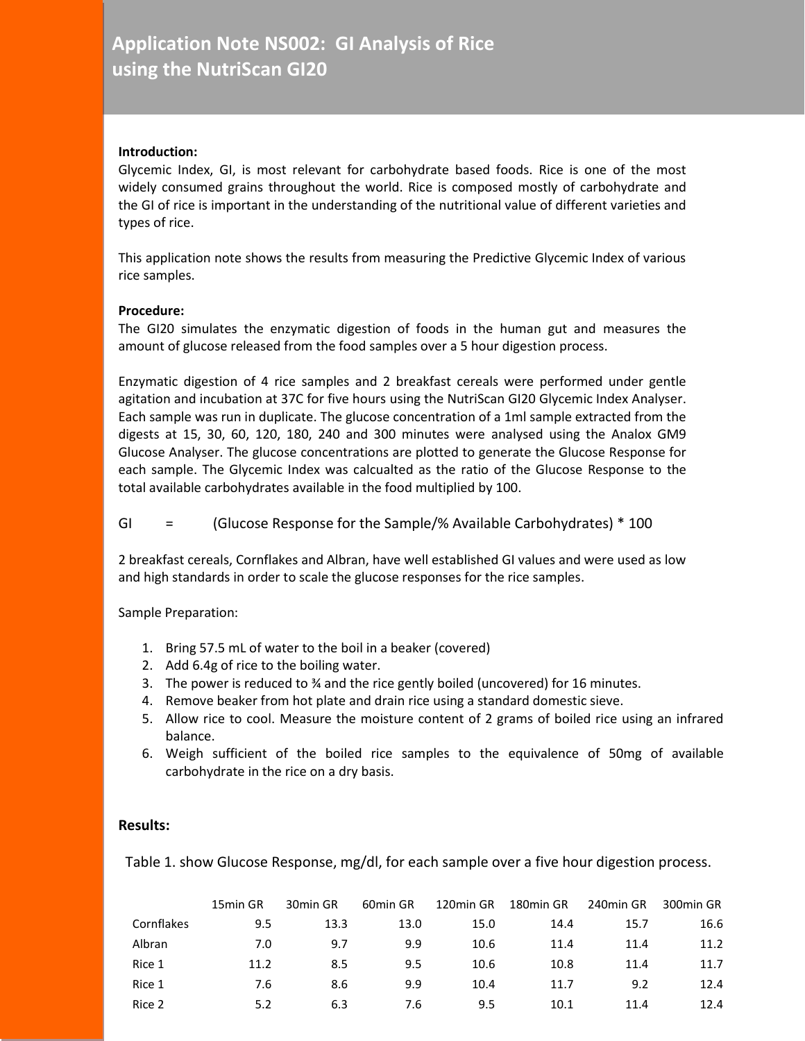# **Application Note NS002: GI Analysis of Rice using the NutriScan GI20**

#### **Introduction:**

Glycemic Index, GI, is most relevant for carbohydrate based foods. Rice is one of the most widely consumed grains throughout the world. Rice is composed mostly of carbohydrate and the GI of rice is important in the understanding of the nutritional value of different varieties and types of rice.

This application note shows the results from measuring the Predictive Glycemic Index of various rice samples.

#### **Procedure:**

The GI20 simulates the enzymatic digestion of foods in the human gut and measures the amount of glucose released from the food samples over a 5 hour digestion process.

Enzymatic digestion of 4 rice samples and 2 breakfast cereals were performed under gentle agitation and incubation at 37C for five hours using the NutriScan GI20 Glycemic Index Analyser. Each sample was run in duplicate. The glucose concentration of a 1ml sample extracted from the digests at 15, 30, 60, 120, 180, 240 and 300 minutes were analysed using the Analox GM9 Glucose Analyser. The glucose concentrations are plotted to generate the Glucose Response for each sample. The Glycemic Index was calcualted as the ratio of the Glucose Response to the total available carbohydrates available in the food multiplied by 100.

# GI = (Glucose Response for the Sample/% Available Carbohydrates) \* 100

2 breakfast cereals, Cornflakes and Albran, have well established GI values and were used as low and high standards in order to scale the glucose responses for the rice samples.

## Sample Preparation:

- 1. Bring 57.5 mL of water to the boil in a beaker (covered)
- 2. Add 6.4g of rice to the boiling water.
- 3. The power is reduced to ¾ and the rice gently boiled (uncovered) for 16 minutes.
- 4. Remove beaker from hot plate and drain rice using a standard domestic sieve.
- 5. Allow rice to cool. Measure the moisture content of 2 grams of boiled rice using an infrared balance.
- 6. Weigh sufficient of the boiled rice samples to the equivalence of 50mg of available carbohydrate in the rice on a dry basis.

## **Results:**

Table 1. show Glucose Response, mg/dl, for each sample over a five hour digestion process.

|            | 15min GR | 30min GR | 60 <sub>min</sub> GR | 120min GR | 180min GR | 240min GR | 300min GR |
|------------|----------|----------|----------------------|-----------|-----------|-----------|-----------|
| Cornflakes | 9.5      | 13.3     | 13.0                 | 15.0      | 14.4      | 15.7      | 16.6      |
| Albran     | 7.0      | 9.7      | 9.9                  | 10.6      | 11.4      | 11.4      | 11.2      |
| Rice 1     | 11.2     | 8.5      | 9.5                  | 10.6      | 10.8      | 11.4      | 11.7      |
| Rice 1     | 7.6      | 8.6      | 9.9                  | 10.4      | 11.7      | 9.2       | 12.4      |
| Rice 2     | 5.2      | 6.3      | 7.6                  | 9.5       | 10.1      | 11.4      | 12.4      |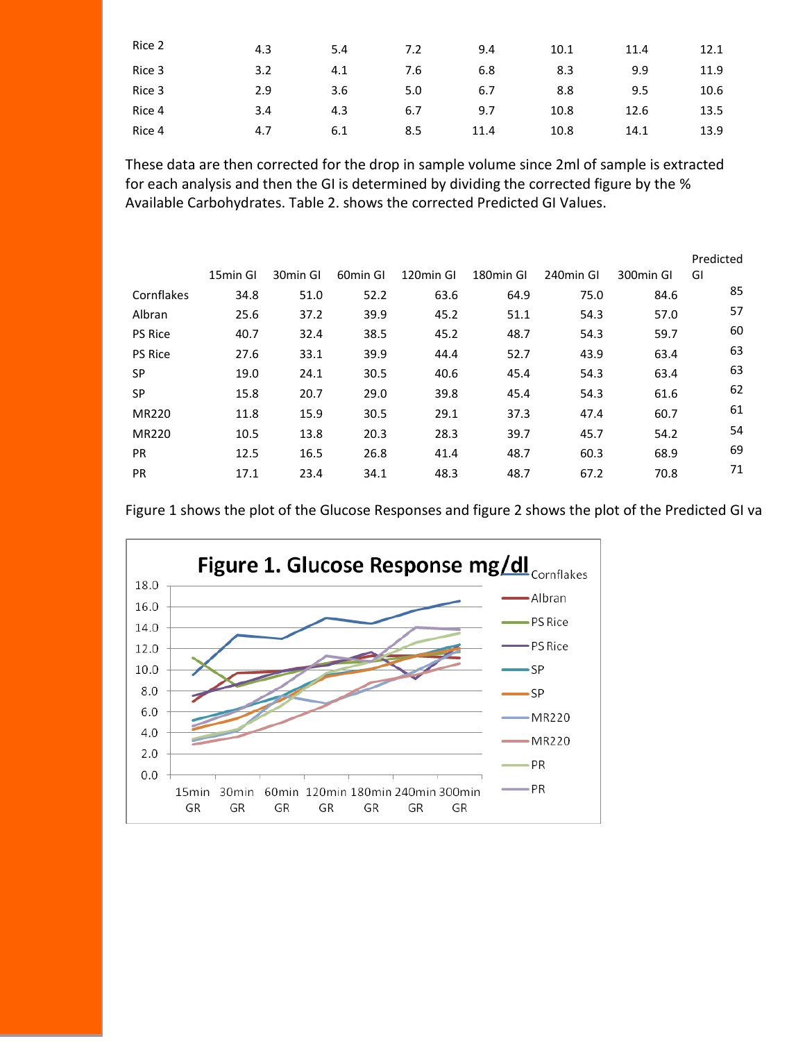| Rice 2 | 4.3 | 5.4 | 7.2 | 9.4  | 10.1 | 11.4 | 12.1 |
|--------|-----|-----|-----|------|------|------|------|
| Rice 3 | 3.2 | 4.1 | 7.6 | 6.8  | 8.3  | 9.9  | 11.9 |
| Rice 3 | 2.9 | 3.6 | 5.0 | 6.7  | 8.8  | 9.5  | 10.6 |
| Rice 4 | 3.4 | 4.3 | 6.7 | 9.7  | 10.8 | 12.6 | 13.5 |
| Rice 4 | 4.7 | 6.1 | 8.5 | 11.4 | 10.8 | 14.1 | 13.9 |

These data are then corrected for the drop in sample volume since 2ml of sample is extracted for each analysis and then the GI is determined by dividing the corrected figure by the % Available Carbohydrates. Table 2. shows the corrected Predicted GI Values.

|                |          |          |          |           |                       |           |           | Predicted |
|----------------|----------|----------|----------|-----------|-----------------------|-----------|-----------|-----------|
|                | 15min GI | 30min GI | 60min GI | 120min GI | 180 <sub>min</sub> GI | 240min GI | 300min GI | GI        |
| Cornflakes     | 34.8     | 51.0     | 52.2     | 63.6      | 64.9                  | 75.0      | 84.6      | 85        |
| Albran         | 25.6     | 37.2     | 39.9     | 45.2      | 51.1                  | 54.3      | 57.0      | 57        |
| <b>PS Rice</b> | 40.7     | 32.4     | 38.5     | 45.2      | 48.7                  | 54.3      | 59.7      | 60        |
| <b>PS Rice</b> | 27.6     | 33.1     | 39.9     | 44.4      | 52.7                  | 43.9      | 63.4      | 63        |
| <b>SP</b>      | 19.0     | 24.1     | 30.5     | 40.6      | 45.4                  | 54.3      | 63.4      | 63        |
| <b>SP</b>      | 15.8     | 20.7     | 29.0     | 39.8      | 45.4                  | 54.3      | 61.6      | 62        |
| <b>MR220</b>   | 11.8     | 15.9     | 30.5     | 29.1      | 37.3                  | 47.4      | 60.7      | 61        |
| <b>MR220</b>   | 10.5     | 13.8     | 20.3     | 28.3      | 39.7                  | 45.7      | 54.2      | 54        |
| <b>PR</b>      | 12.5     | 16.5     | 26.8     | 41.4      | 48.7                  | 60.3      | 68.9      | 69        |
| <b>PR</b>      | 17.1     | 23.4     | 34.1     | 48.3      | 48.7                  | 67.2      | 70.8      | 71        |

Figure 1 shows the plot of the Glucose Responses and figure 2 shows the plot of the Predicted GI values.

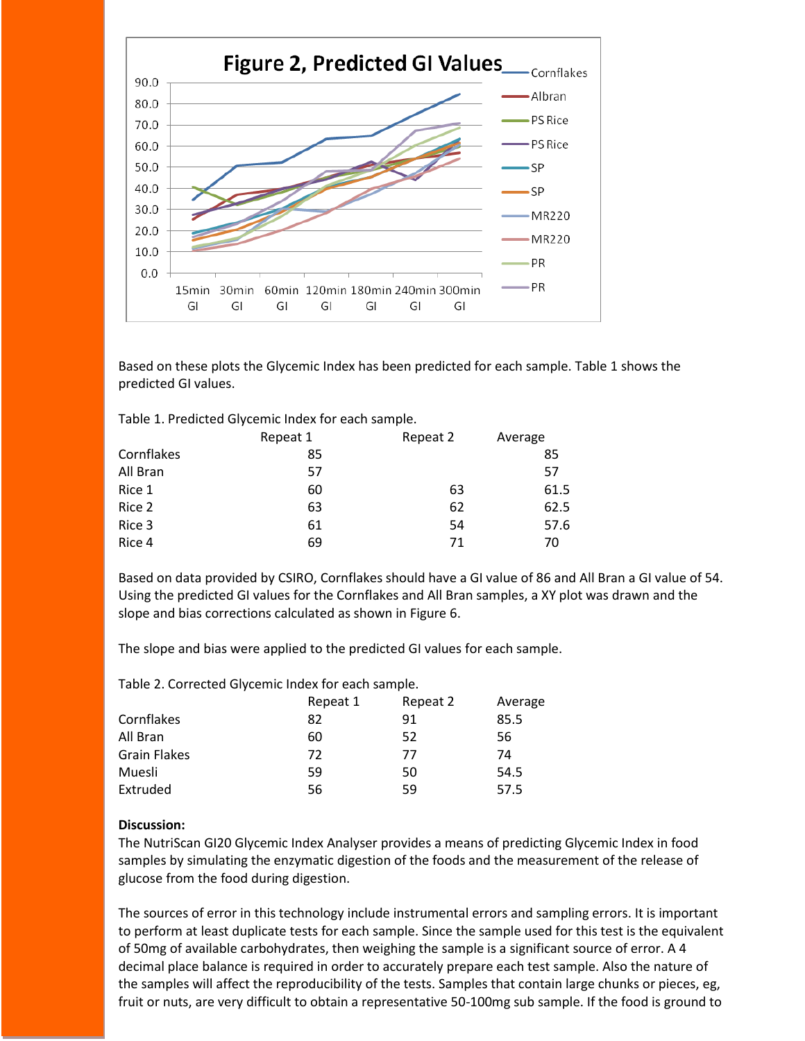

Based on these plots the Glycemic Index has been predicted for each sample. Table 1 shows the predicted GI values.

| Table 1. Predicted Glycemic Index for each sample. |  |  |
|----------------------------------------------------|--|--|
|----------------------------------------------------|--|--|

|            | Repeat 1 | Repeat 2 | Average |  |
|------------|----------|----------|---------|--|
| Cornflakes | 85       |          | 85      |  |
| All Bran   | 57       |          | 57      |  |
| Rice 1     | 60       | 63       | 61.5    |  |
| Rice 2     | 63       | 62       | 62.5    |  |
| Rice 3     | 61       | 54       | 57.6    |  |
| Rice 4     | 69       | 71       | 70      |  |

Based on data provided by CSIRO, Cornflakes should have a GI value of 86 and All Bran a GI value of 54. Using the predicted GI values for the Cornflakes and All Bran samples, a XY plot was drawn and the slope and bias corrections calculated as shown in Figure 6.

The slope and bias were applied to the predicted GI values for each sample.

Table 2. Corrected Glycemic Index for each sample.

|                     | Repeat 1 | Repeat 2 | Average |
|---------------------|----------|----------|---------|
| Cornflakes          | 82       | 91       | 85.5    |
| All Bran            | 60       | 52       | 56      |
| <b>Grain Flakes</b> | 72       | 77       | 74      |
| Muesli              | 59       | 50       | 54.5    |
| Extruded            | 56       | 59       | 57.5    |

#### **Discussion:**

The NutriScan GI20 Glycemic Index Analyser provides a means of predicting Glycemic Index in food samples by simulating the enzymatic digestion of the foods and the measurement of the release of glucose from the food during digestion.

The sources of error in this technology include instrumental errors and sampling errors. It is important to perform at least duplicate tests for each sample. Since the sample used for this test is the equivalent of 50mg of available carbohydrates, then weighing the sample is a significant source of error. A 4 decimal place balance is required in order to accurately prepare each test sample. Also the nature of the samples will affect the reproducibility of the tests. Samples that contain large chunks or pieces, eg, fruit or nuts, are very difficult to obtain a representative 50-100mg sub sample. If the food is ground to